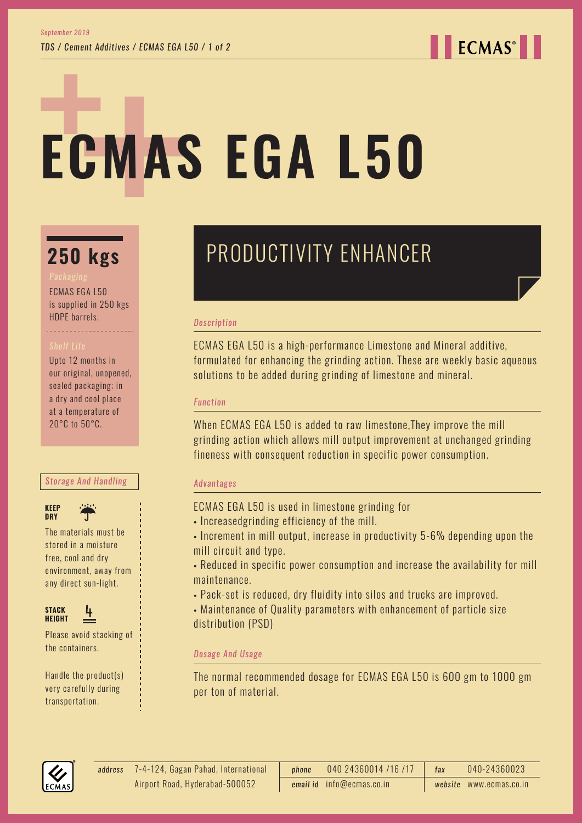**ECMAS**<sup>®</sup>

# **ECMAS EGA L50**

## **250 kgs**

ECMAS EGA L50 is supplied in 250 kgs HDPE barrels. *Description*

Upto 12 months in our original, unopened, sealed packaging; in a dry and cool place at a temperature of 20°C to 50°C.

#### *Storage And Handling*



The materials must be

stored in a moisture free, cool and dry environment, away from any direct sun-light.



Please avoid stacking of the containers.

Handle the product(s) very carefully during transportation.

# PRODUCTIVITY ENHANCER

ECMAS EGA L50 is a high-performance Limestone and Mineral additive, formulated for enhancing the grinding action. These are weekly basic aqueous solutions to be added during grinding of limestone and mineral.

### *Function*

When ECMAS EGA L50 is added to raw limestone,They improve the mill grinding action which allows mill output improvement at unchanged grinding fineness with consequent reduction in specific power consumption.

### *Advantages*

ECMAS EGA L50 is used in limestone grinding for

- Increasedgrinding efficiency of the mill.
- Increment in mill output, increase in productivity 5-6% depending upon the mill circuit and type.
- Reduced in specific power consumption and increase the availability for mill maintenance.
- Pack-set is reduced, dry fluidity into silos and trucks are improved.
- Maintenance of Quality parameters with enhancement of particle size distribution (PSD)

### *Dosage And Usage*

The normal recommended dosage for ECMAS EGA L50 is 600 gm to 1000 gm per ton of material.



7-4-124, Gagan Pahad, International *address phone* 040 24360014 /16 /17 *fax* 040-24360023 *email id* info@ecmas.co.in *website* www.ecmas.co.in